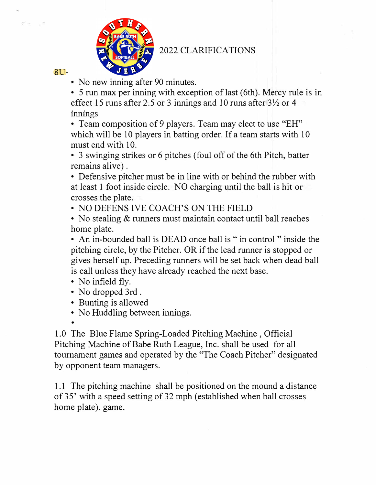

## 2022 CLARIFICATIONS

## 8U-

man in

• No new inning after 90 minutes.

• 5 run max per inning with exception of last (6th). Mercy rule is in effect 15 runs after 2.5 or 3 innings and 10 runs after  $3\frac{1}{2}$  or 4 innings

• Team composition of 9 players. Team may elect to use "EH" which will be 10 players in batting order. If a team starts with 10 must end with 10.

• 3 swinging strikes or 6 pitches (foul off of the 6th Pitch, batter remains alive) .

• Defensive pitcher must be in line with or behind the rubber with at least 1 foot inside circle. NO charging until the ball is hit or crosses the plate.

• NO DEFENS IVE COACH'S ON THE FIELD

• No stealing & runners must maintain contact until ball reaches home plate.

• An in-bounded ball is DEAD once ball is " in control " inside the pitching circle, by the Pitcher. OR if the lead runner is stopped or gives herself up. Preceding runners will be set back when dead ball is call unless they have already reached the next base.

- No infield fly.
- No dropped 3rd .
- Bunting is allowed
- No Huddling between innings. •

1.0 The Blue Flame Spring-Loaded Pitching Machine , Official Pitching Machine of Babe Ruth League, Inc. shall be used for all tournament games and operated by the "The Coach Pitcher" designated by opponent team managers.

1.1 The pitching machine shall be positioned on the mound a distance of 35' with a speed setting of 32 mph ( established when ball crosses home plate). game.